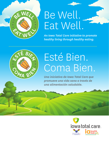

# Be Well. Eat Well.

*An Iowa Total Care initiative to promote healthy living through healthy eating.* 



# Esté Bien. Coma Bien.

*Una iniciativa de Iowa Total Care que promueve una vida sana a través de una alimentación saludable.* 

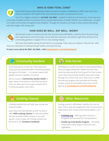#### WHO IS IOWA TOTAL CARE?



Iowa Total Care provides Medicaid health insurance to Iowans. Established in 2019, Iowa Total Care exists to transform the health of the communities we serve, one person at a time.

One of our biggest initiatives is **Be Well. Eat Well.**, created to address food insecurity. Food insecurity is the lack of reliable access to nutritious food, a Social Determinant of Health (SDOH). As a health plan, our goal is to make communities throughout Iowa healthier. Through this initiative, we hope to show Iowans that being well often begins with eating well.

#### HOW DOES BE WELL. EAT WELL. WORK?



We educate Iowans on where and why they should access affordable, nutritious food. By partnering with organizations across the state, we provide free resources, like where to get fresh produce from community gardens or register for no-cost cooking classes.

We know that healthy eating should start at a young age. That's why we created a "Kids Korner" with resources dedicated to helping kids get healthy and stay that way.

To learn more about Be Well. Eat Well., visit [iowatotalcare.com/bewelleatwell](https://www.iowatotalcare.com/members/medicaid/bewelleatwell.html).



### Community Gardens

Food insecurity is on the rise. That's why Iowa Total Care has partnered with community gardens throughout the state — to provide Iowans with greater access to healthy, local food.

We've created a **Community Garden Guide** to help Iowans know where to find fresh produce. They can also learn how to get involved with a community garden near them!

### Kids Korner

We believe it is never too early to start eating healthy. Kids can begin taking their health into their own hands by learning what food is good for their bodies. Iowa Total Care provides healthy resources to kids through Doc's Kids Club. Doc's Kids Club is a FREE educational program that provides kid-friendly recipes, activities and healthy tips every month. Sign up at *[iowatotalcare.com/docskidsclub](https://www.iowatotalcare.com/members/medicaid/resources/docs-kids-club.html).* 

## Cooking Classes

Cooking healthy food can help save money and improve health.

Iowa Total Care has teamed up with Hy-Vee to offer FREE cooking classes for kids and adults! We also provide healthy recipes to try each season. A list of easy, kid-friendly recipes can be found in our Centeam Cookbook.

## Other Resources

Finding access to affordable, healthy food can be hard. That is why we've gathered a list of resources to help Iowans save money while eating healthy, such as:

- [FindHelp.org](https://www.findhelp.org) offering online access to programs and services for food assistance.
- Double Up Food Bucks Program providing Iowans with easier ways to buy fruits and vegetables.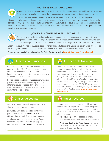#### ¿QUIÉN ES IOWA TOTAL CARE?



Iowa Total Care ofrece seguro médico de Medicaid a los habitantes de Iowa. Establecido en 2019, Iowa Total Care existe para transformar la salud de las comunidades a las que servimos, de una persona a la vez.

Una de nuestras mayores iniciativas es **Be Well. Eat Well.**, creada para abordar la inseguridad alimentaria. La inseguridad alimentaria es la falta de acceso confiable a alimentos nutritivos, un determinante social de la salud (SDOH, por sus siglas en inglés). Como plan de salud, nuestro objetivo es hacer que las comunidades de Iowa sean más saludables. A través de esta iniciativa, esperamos mostrarles a los habitantes de Iowa que, a menudo, estar bien comienza con comer bien.

#### ¿CÓMO FUNCIONA BE WELL. EAT WELL?



Educamos a los habitantes de Iowa sobre dónde y por qué deberían acceder a alimentos nutritivos y asequibles. Al asociarnos con organizaciones en todo el estado, proporcionamos recursos gratuitos, como dónde obtener productos frescos de los huertos comunitarios o registrarse para clases de cocina sin costo.

Sabemos que la alimentación saludable debe comenzar a una edad temprana. Es por eso que creamos el "Rincón de los niños" (Kids Korner) con recursos dedicados a ayudar a los niños a estar saludables y mantenerse así.

Para obtener más información sobre Be Well. Eat Well., visite [iowatotalcare.com/bewelleatwell](https://www-es.iowatotalcare.com/members/medicaid/bewelleatwell.html).



## Huertos comunitarios

La inseguridad alimentaria va en aumento. Es por ello que Iowa Total Care se ha asociado con los huertos comunitarios de todo el estado: para brindar a los habitantes de Iowa un mayor acceso a alimentos locales saludables.

Hemos creado una Guía de huertos comunitarios para que los habitantes de Iowa sepan dónde obtener productos frescos. ¡También pueden enterarse sobre cómo participar en un huerto comunitario cerca de ellos!

## El rincón de los niños

Creemos que nunca es demasiado pronto para empezar a comer de forma saludable. Los niños pueden comenzar a tomar el control de su salud al aprender qué alimentos son buenos para su organismo. Iowa Total Care brinda recursos saludables a los niños a través del Club para niños de Doc (Doc's Kids Club). El Club para niños de Doc es un programa educativo GRATUITO que ofrece cada mes recetas, actividades y consejos saludables para los niños. Regístrese en *[iowatotalcare.com/](https://www-es.iowatotalcare.com/members/medicaid/resources/docs-kids-club.html)* [docskidsclub](https://www-es.iowatotalcare.com/members/medicaid/resources/docs-kids-club.html).

# Clases de cocina

Cocinar alimentos saludables puede ayudar a ahorrar dinero y mejorar la salud.

¡Iowa Total Care se ha asociado con Hy-Vee para ofrecer clases de cocina GRATIS para niños y adultos! También ofrecemos recetas saludables para hacer cada estación. Puede encontrar una lista de recetas fáciles para niños en nuestro Libro de cocina Centeam.

### Otros recursos

Encontrar acceso a alimentos saludables y asequibles puede ser difícil. Es por eso que hemos recopilado una lista de recursos para ayudar a los habitantes de Iowa a ahorrar dinero mientras comen de manera saludable, como:

- [FindHelp.org](https://www.findhelp.org) ofrece acceso en línea a programas y servicios de asistencia alimentaria.
- Programa Double Up Food Bucks brinda a los habitantes de Iowa formas más fáciles de comprar frutas y verduras.